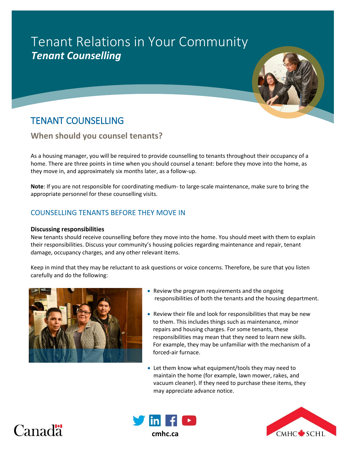# Tenant Relations in Your Community *Tenant Counselling*



# **When should you counsel tenants?**

As a housing manager, you will be required to provide counselling to tenants throughout their occupancy of a home. There are three points in time when you should counsel a tenant: before they move into the home, as they move in, and approximately six months later, as a follow-up.

**Note**: If you are not responsible for coordinating medium- to large-scale maintenance, make sure to bring the appropriate personnel for these counselling visits.

# COUNSELLING TENANTS BEFORE THEY MOVE IN

### **Discussing responsibilities**

New tenants should receive counselling before they move into the home. You should meet with them to explain their responsibilities. Discuss your community's housing policies regarding maintenance and repair, tenant damage, occupancy charges, and any other relevant items.

Keep in mind that they may be reluctant to ask questions or voice concerns. Therefore, be sure that you listen carefully and do the following:



- Review the program requirements and the ongoing responsibilities of both the tenants and the housing department.
- Review their file and look for responsibilities that may be new to them. This includes things such as maintenance, minor repairs and housing charges. For some tenants, these responsibilities may mean that they need to learn new skills. For example, they may be unfamiliar with the mechanism of a forced-air furnace.
- Let them know what equipment/tools they may need to maintain the home (for example, lawn mower, rakes, and vacuum cleaner). If they need to purchase these items, they may appreciate advance notice.





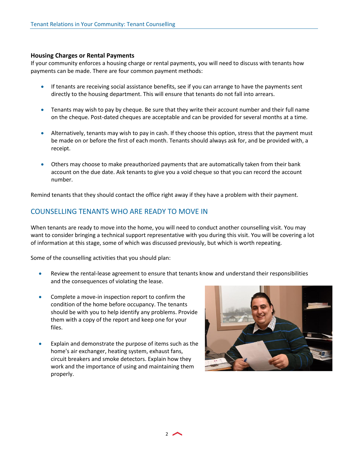#### **Housing Charges or Rental Payments**

If your community enforces a housing charge or rental payments, you will need to discuss with tenants how payments can be made. There are four common payment methods:

- If tenants are receiving social assistance benefits, see if you can arrange to have the payments sent directly to the housing department. This will ensure that tenants do not fall into arrears.
- Tenants may wish to pay by cheque. Be sure that they write their account number and their full name on the cheque. Post-dated cheques are acceptable and can be provided for several months at a time.
- Alternatively, tenants may wish to pay in cash. If they choose this option, stress that the payment must be made on or before the first of each month. Tenants should always ask for, and be provided with, a receipt.
- Others may choose to make preauthorized payments that are automatically taken from their bank account on the due date. Ask tenants to give you a void cheque so that you can record the account number.

Remind tenants that they should contact the office right away if they have a problem with their payment.

## COUNSELLING TENANTS WHO ARE READY TO MOVE IN

When tenants are ready to move into the home, you will need to conduct another counselling visit. You may want to consider bringing a technical support representative with you during this visit. You will be covering a lot of information at this stage, some of which was discussed previously, but which is worth repeating.

Some of the counselling activities that you should plan:

- Review the rental-lease agreement to ensure that tenants know and understand their responsibilities and the consequences of violating the lease.
- **•** Complete a move-in inspection report to confirm the condition of the home before occupancy. The tenants should be with you to help identify any problems. Provide them with a copy of the report and keep one for your files.
- Explain and demonstrate the purpose of items such as the home's air exchanger, heating system, exhaust fans, circuit breakers and smoke detectors. Explain how they work and the importance of using and maintaining them properly.



 $2<sub>2</sub>$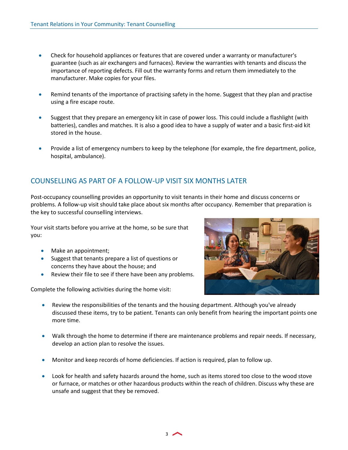- Check for household appliances or features that are covered under a warranty or manufacturer's guarantee (such as air exchangers and furnaces). Review the warranties with tenants and discuss the importance of reporting defects. Fill out the warranty forms and return them immediately to the manufacturer. Make copies for your files.
- Remind tenants of the importance of practising safety in the home. Suggest that they plan and practise using a fire escape route.
- Suggest that they prepare an emergency kit in case of power loss. This could include a flashlight (with batteries), candles and matches. It is also a good idea to have a supply of water and a basic first-aid kit stored in the house.
- Provide a list of emergency numbers to keep by the telephone (for example, the fire department, police, hospital, ambulance).

# COUNSELLING AS PART OF A FOLLOW-UP VISIT SIX MONTHS LATER

Post-occupancy counselling provides an opportunity to visit tenants in their home and discuss concerns or problems. A follow-up visit should take place about six months after occupancy. Remember that preparation is the key to successful counselling interviews.

Your visit starts before you arrive at the home, so be sure that you:

- Make an appointment;
- Suggest that tenants prepare a list of questions or concerns they have about the house; and
- Review their file to see if there have been any problems.

Complete the following activities during the home visit:



- Review the responsibilities of the tenants and the housing department. Although you've already discussed these items, try to be patient. Tenants can only benefit from hearing the important points one more time.
- Walk through the home to determine if there are maintenance problems and repair needs. If necessary, develop an action plan to resolve the issues.
- Monitor and keep records of home deficiencies. If action is required, plan to follow up.
- Look for health and safety hazards around the home, such as items stored too close to the wood stove or furnace, or matches or other hazardous products within the reach of children. Discuss why these are unsafe and suggest that they be removed.

3